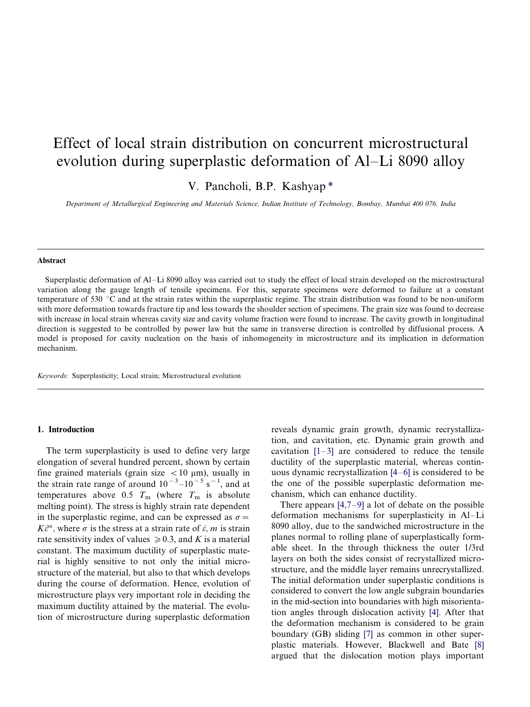# Effect of local strain distribution on concurrent microstructural evolution during superplastic deformation of Al–Li 8090 alloy

V. Pancholi, B.P. Kashyap \*

Department of Metallurgical Engineering and Materials Science, Indian Institute of Technology, Bombay, Mumbai 400 076, India

#### Abstract

Superplastic deformation of Al-Li 8090 alloy was carried out to study the effect of local strain developed on the microstructural variation along the gauge length of tensile specimens. For this, separate specimens were deformed to failure at a constant temperature of 530  $\degree$ C and at the strain rates within the superplastic regime. The strain distribution was found to be non-uniform with more deformation towards fracture tip and less towards the shoulder section of specimens. The grain size was found to decrease with increase in local strain whereas cavity size and cavity volume fraction were found to increase. The cavity growth in longitudinal direction is suggested to be controlled by power law but the same in transverse direction is controlled by diffusional process. A model is proposed for cavity nucleation on the basis of inhomogeneity in microstructure and its implication in deformation mechanism.

Keywords: Superplasticity; Local strain; Microstructural evolution

#### 1. Introduction

The term superplasticity is used to define very large elongation of several hundred percent, shown by certain fine grained materials (grain size  $\lt$  10  $\mu$ m), usually in the strain rate range of around  $10^{-3}$ – $10^{-5}$  s<sup>-1</sup>, and at temperatures above 0.5  $T_m$  (where  $T_m$  is absolute melting point). The stress is highly strain rate dependent in the superplastic regime, and can be expressed as  $\sigma =$  $K\ddot{\epsilon}^m$ , where  $\sigma$  is the stress at a strain rate of  $\dot{\epsilon}$ , m is strain rate sensitivity index of values  $\geq 0.3$ , and K is a material constant. The maximum ductility of superplastic material is highly sensitive to not only the initial microstructure of the material, but also to that which develops during the course of deformation. Hence, evolution of microstructure plays very important role in deciding the maximum ductility attained by the material. The evolution of microstructure during superplastic deformation

reveals dynamic grain growth, dynamic recrystallization, and cavitation, etc. Dynamic grain growth and cavitation  $[1-3]$  $[1-3]$  are considered to reduce the tensile ductility of the superplastic material, whereas continuous dynamic recrystallization  $[4-6]$  $[4-6]$  is considered to be the one of the possible superplastic deformation mechanism, which can enhance ductility.

There appears  $[4,7-9]$  $[4,7-9]$  a lot of debate on the possible deformation mechanisms for superplasticity in Al-Li 8090 alloy, due to the sandwiched microstructure in the planes normal to rolling plane of superplastically formable sheet. In the through thickness the outer 1/3rd layers on both the sides consist of recrystallized microstructure, and the middle layer remains unrecrystallized. The initial deformation under superplastic conditions is considered to convert the low angle subgrain boundaries in the mid-section into boundaries with high misorientation angles through dislocation activity [\[4\].](#page-8-0) After that the deformation mechanism is considered to be grain boundary (GB) sliding [\[7\]](#page-8-0) as common in other superplastic materials. However, Blackwell and Bate [\[8\]](#page-8-0) argued that the dislocation motion plays important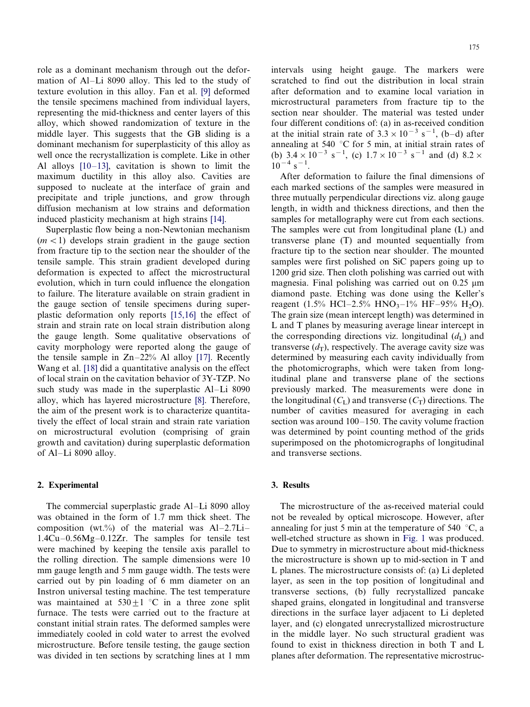role as a dominant mechanism through out the deformation of Al-Li 8090 alloy. This led to the study of texture evolution in this alloy. Fan et al. [\[9\]](#page-8-0) deformed the tensile specimens machined from individual layers, representing the mid-thickness and center layers of this alloy, which showed randomization of texture in the middle layer. This suggests that the GB sliding is a dominant mechanism for superplasticity of this alloy as well once the recrystallization is complete. Like in other Al alloys  $[10-13]$  $[10-13]$ , cavitation is shown to limit the maximum ductility in this alloy also. Cavities are supposed to nucleate at the interface of grain and precipitate and triple junctions, and grow through diffusion mechanism at low strains and deformation induced plasticity mechanism at high strains [\[14\].](#page-8-0)

Superplastic flow being a non-Newtonian mechanism  $(m < 1)$  develops strain gradient in the gauge section from fracture tip to the section near the shoulder of the tensile sample. This strain gradient developed during deformation is expected to affect the microstructural evolution, which in turn could influence the elongation to failure. The literature available on strain gradient in the gauge section of tensile specimens during superplastic deformation only reports [\[15,16\]](#page-8-0) the effect of strain and strain rate on local strain distribution along the gauge length. Some qualitative observations of cavity morphology were reported along the gauge of the tensile sample in  $Zn-22%$  Al alloy [\[17\]](#page-8-0). Recently Wang et al. [\[18\]](#page-8-0) did a quantitative analysis on the effect of local strain on the cavitation behavior of 3Y-TZP. No such study was made in the superplastic Al–Li 8090 alloy, which has layered microstructure [\[8\].](#page-8-0) Therefore, the aim of the present work is to characterize quantitatively the effect of local strain and strain rate variation on microstructural evolution (comprising of grain growth and cavitation) during superplastic deformation of Al-Li 8090 alloy.

## 2. Experimental

The commercial superplastic grade Al-Li 8090 alloy was obtained in the form of 1.7 mm thick sheet. The composition (wt.%) of the material was  $Al-2.7Li 1.4Cu-0.56Mg-0.12Zr$ . The samples for tensile test were machined by keeping the tensile axis parallel to the rolling direction. The sample dimensions were 10 mm gauge length and 5 mm gauge width. The tests were carried out by pin loading of 6 mm diameter on an Instron universal testing machine. The test temperature was maintained at  $530+1$  °C in a three zone split furnace. The tests were carried out to the fracture at constant initial strain rates. The deformed samples were immediately cooled in cold water to arrest the evolved microstructure. Before tensile testing, the gauge section was divided in ten sections by scratching lines at 1 mm intervals using height gauge. The markers were scratched to find out the distribution in local strain after deformation and to examine local variation in microstructural parameters from fracture tip to the section near shoulder. The material was tested under four different conditions of: (a) in as-received condition at the initial strain rate of  $3.3 \times 10^{-3}$  s<sup>-1</sup>, (b-d) after annealing at 540  $\degree$ C for 5 min, at initial strain rates of (b)  $3.4 \times 10^{-3}$  s<sup>-1</sup>, (c)  $1.7 \times 10^{-3}$  s<sup>-1</sup> and (d)  $8.2 \times$  $10^{-4}$  s<sup>-1</sup>.

After deformation to failure the final dimensions of each marked sections of the samples were measured in three mutually perpendicular directions viz. along gauge length, in width and thickness directions, and then the samples for metallography were cut from each sections. The samples were cut from longitudinal plane (L) and transverse plane (T) and mounted sequentially from fracture tip to the section near shoulder. The mounted samples were first polished on SiC papers going up to 1200 grid size. Then cloth polishing was carried out with magnesia. Final polishing was carried out on  $0.25 \mu m$ diamond paste. Etching was done using the Keller's reagent (1.5% HCl-2.5% HNO<sub>3</sub>-1% HF-95% H<sub>2</sub>O). The grain size (mean intercept length) was determined in L and T planes by measuring average linear intercept in the corresponding directions viz. longitudinal  $(d<sub>L</sub>)$  and transverse  $(d_T)$ , respectively. The average cavity size was determined by measuring each cavity individually from the photomicrographs, which were taken from longitudinal plane and transverse plane of the sections previously marked. The measurements were done in the longitudinal  $(C<sub>L</sub>)$  and transverse  $(C<sub>T</sub>)$  directions. The number of cavities measured for averaging in each section was around  $100-150$ . The cavity volume fraction was determined by point counting method of the grids superimposed on the photomicrographs of longitudinal and transverse sections.

#### 3. Results

The microstructure of the as-received material could not be revealed by optical microscope. However, after annealing for just 5 min at the temperature of 540  $\degree$ C, a well-etched structure as shown in [Fig. 1](#page-2-0) was produced. Due to symmetry in microstructure about mid-thickness the microstructure is shown up to mid-section in T and L planes. The microstructure consists of: (a) Li depleted layer, as seen in the top position of longitudinal and transverse sections, (b) fully recrystallized pancake shaped grains, elongated in longitudinal and transverse directions in the surface layer adjacent to Li depleted layer, and (c) elongated unrecrystallized microstructure in the middle layer. No such structural gradient was found to exist in thickness direction in both T and L planes after deformation. The representative microstruc-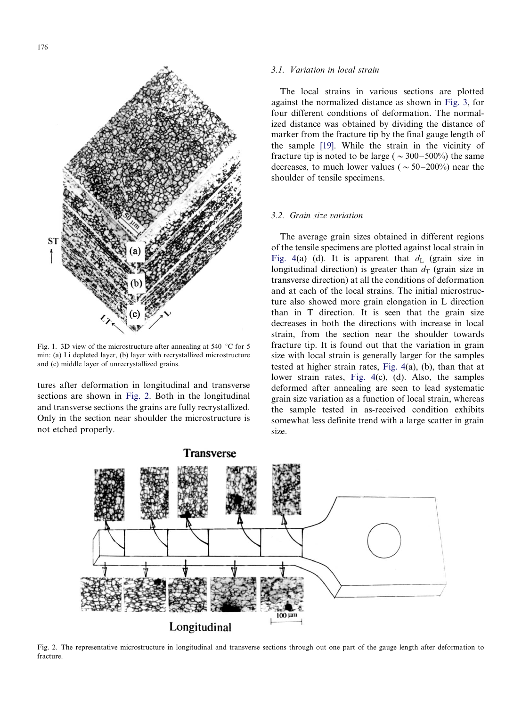<span id="page-2-0"></span>

Fig. 1. 3D view of the microstructure after annealing at 540  $\degree$ C for 5 min: (a) Li depleted layer, (b) layer with recrystallized microstructure and (c) middle layer of unrecrystallized grains.

tures after deformation in longitudinal and transverse sections are shown in Fig. 2. Both in the longitudinal and transverse sections the grains are fully recrystallized. Only in the section near shoulder the microstructure is not etched properly.

#### 3.1. Variation in local strain

The local strains in various sections are plotted against the normalized distance as shown in [Fig. 3](#page-3-0), for four different conditions of deformation. The normalized distance was obtained by dividing the distance of marker from the fracture tip by the final gauge length of the sample [\[19\]](#page-8-0). While the strain in the vicinity of fracture tip is noted to be large ( $\sim$ 300–500%) the same decreases, to much lower values ( $\sim 50-200\%$ ) near the shoulder of tensile specimens.

## 3.2. Grain size variation

The average grain sizes obtained in different regions of the tensile specimens are plotted against local strain in [Fig. 4](#page-3-0)(a)–(d). It is apparent that  $d<sub>L</sub>$  (grain size in longitudinal direction) is greater than  $d_{\text{T}}$  (grain size in transverse direction) at all the conditions of deformation and at each of the local strains. The initial microstructure also showed more grain elongation in L direction than in T direction. It is seen that the grain size decreases in both the directions with increase in local strain, from the section near the shoulder towards fracture tip. It is found out that the variation in grain size with local strain is generally larger for the samples tested at higher strain rates, [Fig. 4\(](#page-3-0)a), (b), than that at lower strain rates, [Fig. 4](#page-3-0)(c), (d). Also, the samples deformed after annealing are seen to lead systematic grain size variation as a function of local strain, whereas the sample tested in as-received condition exhibits somewhat less definite trend with a large scatter in grain size.



Fig. 2. The representative microstructure in longitudinal and transverse sections through out one part of the gauge length after deformation to fracture.

**Transverse**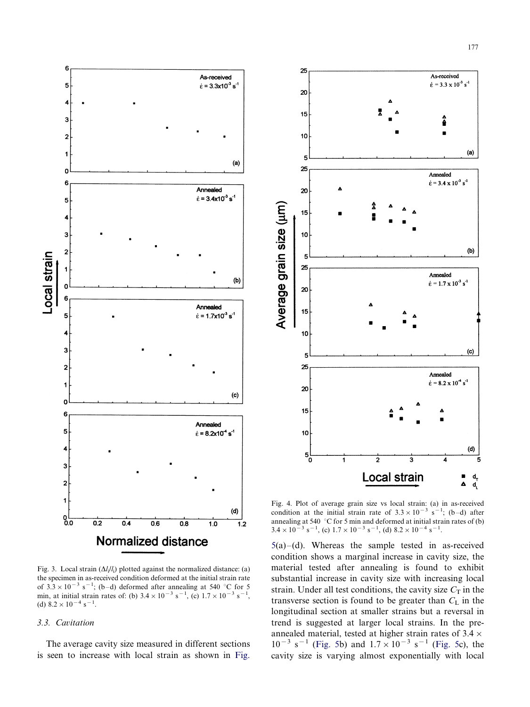

<span id="page-3-0"></span>

Fig. 3. Local strain  $(\Delta l_i/l_i)$  plotted against the normalized distance: (a) the specimen in as-received condition deformed at the initial strain rate of  $3.3 \times 10^{-3}$  s<sup>-1</sup>; (b-d) deformed after annealing at 540 °C for 5 min, at initial strain rates of: (b)  $3.4 \times 10^{-3}$  s<sup>-1</sup>, (c)  $1.7 \times 10^{-3}$  s<sup>-1</sup>, (d)  $8.2 \times 10^{-4}$  s<sup>-1</sup>.

### 3.3. Cavitation

The average cavity size measured in different sections is seen to increase with local strain as shown in [Fig.](#page-4-0)

Fig. 4. Plot of average grain size vs local strain: (a) in as-received condition at the initial strain rate of  $3.3 \times 10^{-3}$  s<sup>-1</sup>; (b-d) after annealing at 540  $\degree$ C for 5 min and deformed at initial strain rates of (b)  $3.4 \times 10^{-3}$  s<sup>-1</sup>, (c)  $1.7 \times 10^{-3}$  s<sup>-1</sup>, (d)  $8.2 \times 10^{-4}$  s<sup>-1</sup>.

 $5(a)$  $5(a)$ –(d). Whereas the sample tested in as-received condition shows a marginal increase in cavity size, the material tested after annealing is found to exhibit substantial increase in cavity size with increasing local strain. Under all test conditions, the cavity size  $C_T$  in the transverse section is found to be greater than  $C_{\rm L}$  in the longitudinal section at smaller strains but a reversal in trend is suggested at larger local strains. In the preannealed material, tested at higher strain rates of  $3.4 \times$  $10^{-3}$  s<sup>-1</sup> ([Fig. 5](#page-4-0)b) and  $1.7 \times 10^{-3}$  s<sup>-1</sup> [\(Fig. 5c](#page-4-0)), the cavity size is varying almost exponentially with local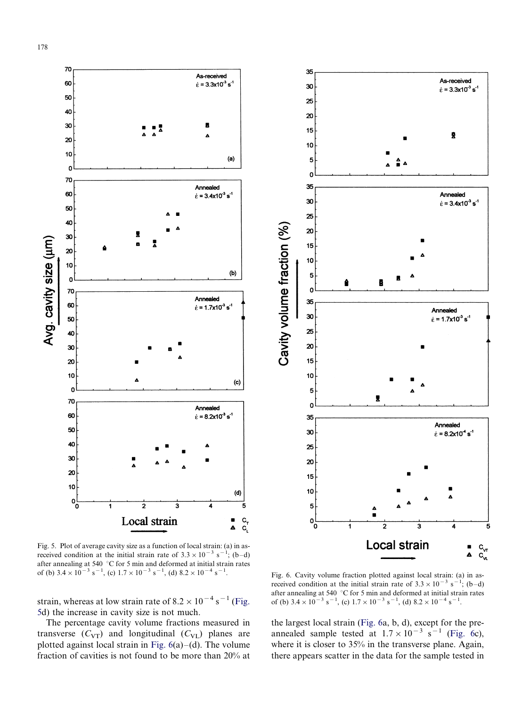<span id="page-4-0"></span>

Fig. 5. Plot of average cavity size as a function of local strain: (a) in asreceived condition at the initial strain rate of  $3.3 \times 10^{-3}$  s<sup>-1</sup>; (b-d) after annealing at 540  $\degree$ C for 5 min and deformed at initial strain rates of (b)  $3.4 \times 10^{-3}$  s<sup>-1</sup>, (c)  $1.7 \times 10^{-3}$  s<sup>-1</sup>, (d)  $8.2 \times 10^{-4}$  s<sup>-1</sup>

strain, whereas at low strain rate of  $8.2 \times 10^{-4}$  s<sup>-1</sup> (Fig. 5d) the increase in cavity size is not much.

The percentage cavity volume fractions measured in transverse  $(C_{VT})$  and longitudinal  $(C_{VL})$  planes are plotted against local strain in Fig.  $6(a)-(d)$ . The volume fraction of cavities is not found to be more than 20% at



. Fig. 6. Cavity volume fraction plotted against local strain: (a) in asreceived condition at the initial strain rate of  $3.3 \times 10^{-3}$  s<sup>-1</sup>; (b-d) after annealing at 540  $\degree$ C for 5 min and deformed at initial strain rates of (b)  $3.4 \times 10^{-3}$  s<sup>-1</sup>, (c)  $1.7 \times 10^{-3}$  s<sup>-1</sup>, (d)  $8.2 \times 10^{-4}$  s<sup>-1</sup>.

the largest local strain (Fig. 6a, b, d), except for the preannealed sample tested at  $1.7 \times 10^{-3}$  s<sup>-1</sup> (Fig. 6c), where it is closer to 35% in the transverse plane. Again, there appears scatter in the data for the sample tested in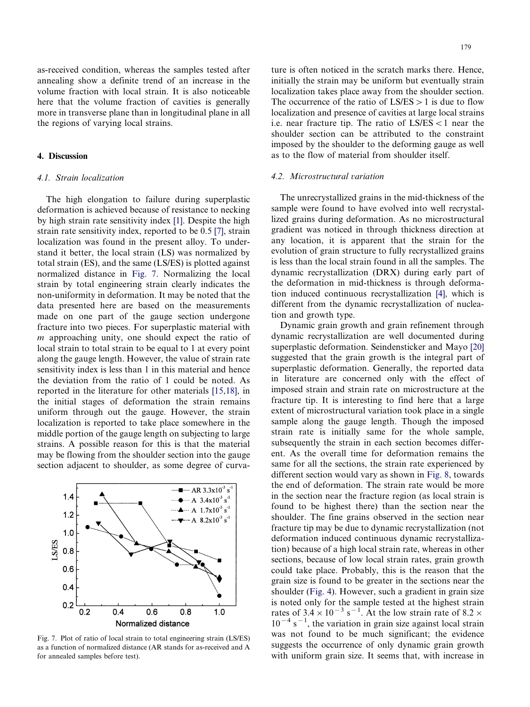as-received condition, whereas the samples tested after annealing show a definite trend of an increase in the volume fraction with local strain. It is also noticeable here that the volume fraction of cavities is generally more in transverse plane than in longitudinal plane in all the regions of varying local strains.

# 4. Discussion

## 4.1. Strain localization

The high elongation to failure during superplastic deformation is achieved because of resistance to necking by high strain rate sensitivity index [\[1\]](#page-8-0). Despite the high strain rate sensitivity index, reported to be 0.5 [\[7\]](#page-8-0), strain localization was found in the present alloy. To understand it better, the local strain (LS) was normalized by total strain (ES), and the same (LS/ES) is plotted against normalized distance in Fig. 7. Normalizing the local strain by total engineering strain clearly indicates the non-uniformity in deformation. It may be noted that the data presented here are based on the measurements made on one part of the gauge section undergone fracture into two pieces. For superplastic material with m approaching unity, one should expect the ratio of local strain to total strain to be equal to 1 at every point along the gauge length. However, the value of strain rate sensitivity index is less than 1 in this material and hence the deviation from the ratio of 1 could be noted. As reported in the literature for other materials [\[15,18\]](#page-8-0), in the initial stages of deformation the strain remains uniform through out the gauge. However, the strain localization is reported to take place somewhere in the middle portion of the gauge length on subjecting to large strains. A possible reason for this is that the material may be flowing from the shoulder section into the gauge section adjacent to shoulder, as some degree of curva-



Fig. 7. Plot of ratio of local strain to total engineering strain (LS/ES) as a function of normalized distance (AR stands for as-received and A for annealed samples before test).

ture is often noticed in the scratch marks there. Hence, initially the strain may be uniform but eventually strain localization takes place away from the shoulder section. The occurrence of the ratio of  $LS/ES > 1$  is due to flow localization and presence of cavities at large local strains i.e. near fracture tip. The ratio of  $LS/ES < 1$  near the shoulder section can be attributed to the constraint imposed by the shoulder to the deforming gauge as well as to the flow of material from shoulder itself.

#### 4.2. Microstructural variation

The unrecrystallized grains in the mid-thickness of the sample were found to have evolved into well recrystallized grains during deformation. As no microstructural gradient was noticed in through thickness direction at any location, it is apparent that the strain for the evolution of grain structure to fully recrystallized grains is less than the local strain found in all the samples. The dynamic recrystallization (DRX) during early part of the deformation in mid-thickness is through deformation induced continuous recrystallization [\[4\]](#page-8-0), which is different from the dynamic recrystallization of nucleation and growth type.

Dynamic grain growth and grain refinement through dynamic recrystallization are well documented during superplastic deformation. Seindensticker and Mayo [\[20\]](#page-8-0) suggested that the grain growth is the integral part of superplastic deformation. Generally, the reported data in literature are concerned only with the effect of imposed strain and strain rate on microstructure at the fracture tip. It is interesting to find here that a large extent of microstructural variation took place in a single sample along the gauge length. Though the imposed strain rate is initially same for the whole sample, subsequently the strain in each section becomes different. As the overall time for deformation remains the same for all the sections, the strain rate experienced by different section would vary as shown in [Fig. 8](#page-6-0), towards the end of deformation. The strain rate would be more in the section near the fracture region (as local strain is found to be highest there) than the section near the shoulder. The fine grains observed in the section near fracture tip may be due to dynamic recrystallization (not deformation induced continuous dynamic recrystallization) because of a high local strain rate, whereas in other sections, because of low local strain rates, grain growth could take place. Probably, this is the reason that the grain size is found to be greater in the sections near the shoulder ([Fig. 4\)](#page-3-0). However, such a gradient in grain size is noted only for the sample tested at the highest strain rates of  $3.4 \times 10^{-3}$  s<sup>-1</sup>. At the low strain rate of 8.2  $\times$  $10^{-4}$  s<sup>-1</sup>, the variation in grain size against local strain was not found to be much significant; the evidence suggests the occurrence of only dynamic grain growth with uniform grain size. It seems that, with increase in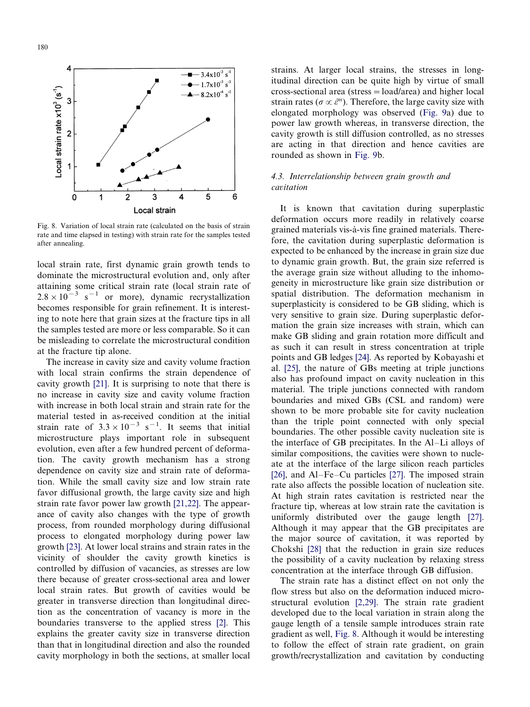<span id="page-6-0"></span>

Fig. 8. Variation of local strain rate (calculated on the basis of strain rate and time elapsed in testing) with strain rate for the samples tested after annealing.

local strain rate, first dynamic grain growth tends to dominate the microstructural evolution and, only after attaining some critical strain rate (local strain rate of  $2.8 \times 10^{-3}$  s<sup>-1</sup> or more), dynamic recrystallization becomes responsible for grain refinement. It is interesting to note here that grain sizes at the fracture tips in all the samples tested are more or less comparable. So it can be misleading to correlate the microstructural condition at the fracture tip alone.

The increase in cavity size and cavity volume fraction with local strain confirms the strain dependence of cavity growth [\[21\]](#page-8-0). It is surprising to note that there is no increase in cavity size and cavity volume fraction with increase in both local strain and strain rate for the material tested in as-received condition at the initial strain rate of  $3.3 \times 10^{-3}$  s<sup>-1</sup>. It seems that initial microstructure plays important role in subsequent evolution, even after a few hundred percent of deformation. The cavity growth mechanism has a strong dependence on cavity size and strain rate of deformation. While the small cavity size and low strain rate favor diffusional growth, the large cavity size and high strain rate favor power law growth [\[21,22\]](#page-8-0). The appearance of cavity also changes with the type of growth process, from rounded morphology during diffusional process to elongated morphology during power law growth [\[23\]](#page-8-0). At lower local strains and strain rates in the vicinity of shoulder the cavity growth kinetics is controlled by diffusion of vacancies, as stresses are low there because of greater cross-sectional area and lower local strain rates. But growth of cavities would be greater in transverse direction than longitudinal direction as the concentration of vacancy is more in the boundaries transverse to the applied stress [\[2\].](#page-8-0) This explains the greater cavity size in transverse direction than that in longitudinal direction and also the rounded cavity morphology in both the sections, at smaller local

strains. At larger local strains, the stresses in longitudinal direction can be quite high by virtue of small cross-sectional area (stress  $=$  load/area) and higher local strain rates ( $\sigma \propto \varepsilon^m$ ). Therefore, the large cavity size with elongated morphology was observed ([Fig. 9a](#page-7-0)) due to power law growth whereas, in transverse direction, the cavity growth is still diffusion controlled, as no stresses are acting in that direction and hence cavities are rounded as shown in [Fig. 9b](#page-7-0).

# 4.3. Interrelationship between grain growth and cavitation

It is known that cavitation during superplastic deformation occurs more readily in relatively coarse grained materials vis-à-vis fine grained materials. Therefore, the cavitation during superplastic deformation is expected to be enhanced by the increase in grain size due to dynamic grain growth. But, the grain size referred is the average grain size without alluding to the inhomogeneity in microstructure like grain size distribution or spatial distribution. The deformation mechanism in superplasticity is considered to be GB sliding, which is very sensitive to grain size. During superplastic deformation the grain size increases with strain, which can make GB sliding and grain rotation more difficult and as such it can result in stress concentration at triple points and GB ledges [\[24\].](#page-8-0) As reported by Kobayashi et al. [\[25\],](#page-8-0) the nature of GBs meeting at triple junctions also has profound impact on cavity nucleation in this material. The triple junctions connected with random boundaries and mixed GBs (CSL and random) were shown to be more probable site for cavity nucleation than the triple point connected with only special boundaries. The other possible cavity nucleation site is the interface of GB precipitates. In the  $Al-Li$  alloys of similar compositions, the cavities were shown to nucleate at the interface of the large silicon reach particles [\[26\]](#page-8-0), and  $Al-Fe-Cu$  particles [\[27\]](#page-8-0). The imposed strain rate also affects the possible location of nucleation site. At high strain rates cavitation is restricted near the fracture tip, whereas at low strain rate the cavitation is uniformly distributed over the gauge length [\[27\]](#page-8-0). Although it may appear that the GB precipitates are the major source of cavitation, it was reported by Chokshi [\[28\]](#page-8-0) that the reduction in grain size reduces the possibility of a cavity nucleation by relaxing stress concentration at the interface through GB diffusion.

The strain rate has a distinct effect on not only the flow stress but also on the deformation induced microstructural evolution [\[2,29\]](#page-8-0). The strain rate gradient developed due to the local variation in strain along the gauge length of a tensile sample introduces strain rate gradient as well, Fig. 8. Although it would be interesting to follow the effect of strain rate gradient, on grain growth/recrystallization and cavitation by conducting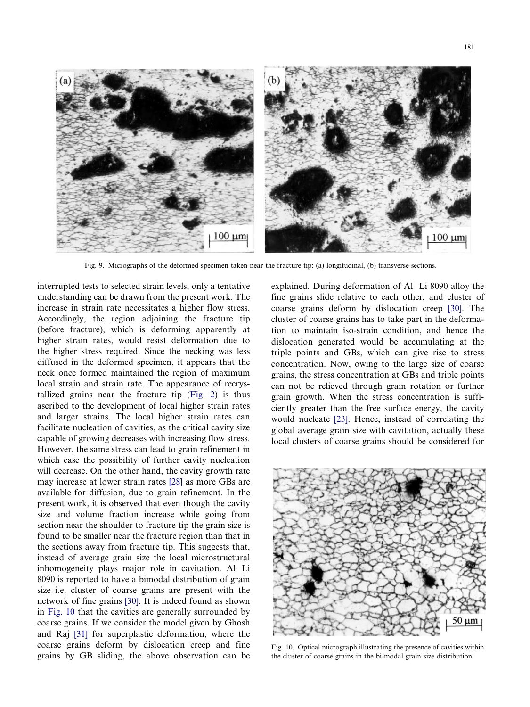<span id="page-7-0"></span>

Fig. 9. Micrographs of the deformed specimen taken near the fracture tip: (a) longitudinal, (b) transverse sections.

interrupted tests to selected strain levels, only a tentative understanding can be drawn from the present work. The increase in strain rate necessitates a higher flow stress. Accordingly, the region adjoining the fracture tip (before fracture), which is deforming apparently at higher strain rates, would resist deformation due to the higher stress required. Since the necking was less diffused in the deformed specimen, it appears that the neck once formed maintained the region of maximum local strain and strain rate. The appearance of recrystallized grains near the fracture tip ([Fig. 2](#page-2-0)) is thus ascribed to the development of local higher strain rates and larger strains. The local higher strain rates can facilitate nucleation of cavities, as the critical cavity size capable of growing decreases with increasing flow stress. However, the same stress can lead to grain refinement in which case the possibility of further cavity nucleation will decrease. On the other hand, the cavity growth rate may increase at lower strain rates [\[28\]](#page-8-0) as more GBs are available for diffusion, due to grain refinement. In the present work, it is observed that even though the cavity size and volume fraction increase while going from section near the shoulder to fracture tip the grain size is found to be smaller near the fracture region than that in the sections away from fracture tip. This suggests that, instead of average grain size the local microstructural inhomogeneity plays major role in cavitation. Al-Li 8090 is reported to have a bimodal distribution of grain size i.e. cluster of coarse grains are present with the network of fine grains [\[30\].](#page-8-0) It is indeed found as shown in Fig. 10 that the cavities are generally surrounded by coarse grains. If we consider the model given by Ghosh and Raj [\[31\]](#page-8-0) for superplastic deformation, where the coarse grains deform by dislocation creep and fine grains by GB sliding, the above observation can be explained. During deformation of  $Al-Li$  8090 alloy the fine grains slide relative to each other, and cluster of coarse grains deform by dislocation creep [\[30\].](#page-8-0) The cluster of coarse grains has to take part in the deformation to maintain iso-strain condition, and hence the dislocation generated would be accumulating at the triple points and GBs, which can give rise to stress concentration. Now, owing to the large size of coarse grains, the stress concentration at GBs and triple points can not be relieved through grain rotation or further grain growth. When the stress concentration is sufficiently greater than the free surface energy, the cavity would nucleate [\[23\].](#page-8-0) Hence, instead of correlating the global average grain size with cavitation, actually these local clusters of coarse grains should be considered for



Fig. 10. Optical micrograph illustrating the presence of cavities within the cluster of coarse grains in the bi-modal grain size distribution.